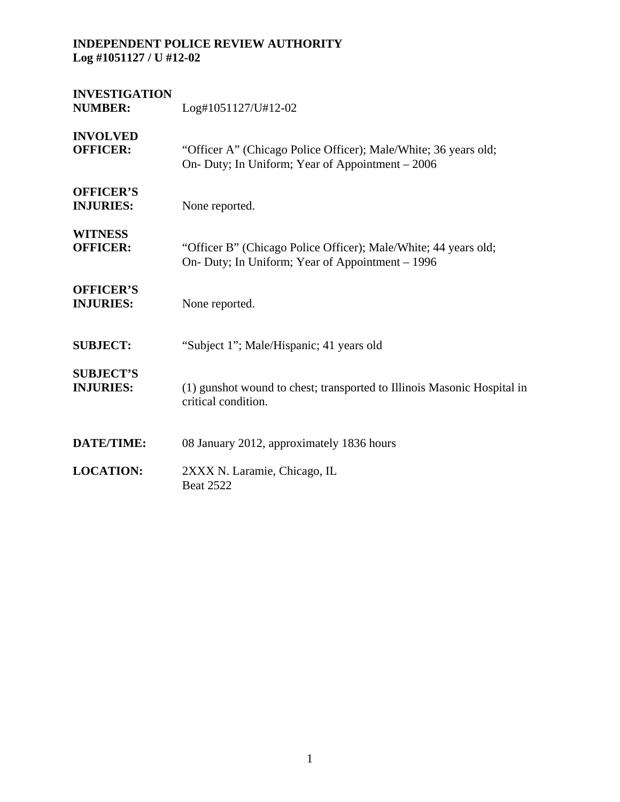| <b>INVESTIGATION</b><br><b>NUMBER:</b> | Log#1051127/U#12-02                                                                                                 |
|----------------------------------------|---------------------------------------------------------------------------------------------------------------------|
| <b>INVOLVED</b><br><b>OFFICER:</b>     | "Officer A" (Chicago Police Officer); Male/White; 36 years old;<br>On- Duty; In Uniform; Year of Appointment - 2006 |
| <b>OFFICER'S</b><br><b>INJURIES:</b>   | None reported.                                                                                                      |
| <b>WITNESS</b><br><b>OFFICER:</b>      | "Officer B" (Chicago Police Officer); Male/White; 44 years old;<br>On- Duty; In Uniform; Year of Appointment – 1996 |
| <b>OFFICER'S</b><br><b>INJURIES:</b>   | None reported.                                                                                                      |
| <b>SUBJECT:</b>                        | "Subject 1"; Male/Hispanic; 41 years old                                                                            |
| <b>SUBJECT'S</b><br><b>INJURIES:</b>   | (1) gunshot wound to chest; transported to Illinois Masonic Hospital in<br>critical condition.                      |
| <b>DATE/TIME:</b>                      | 08 January 2012, approximately 1836 hours                                                                           |
| <b>LOCATION:</b>                       | 2XXX N. Laramie, Chicago, IL<br><b>Beat 2522</b>                                                                    |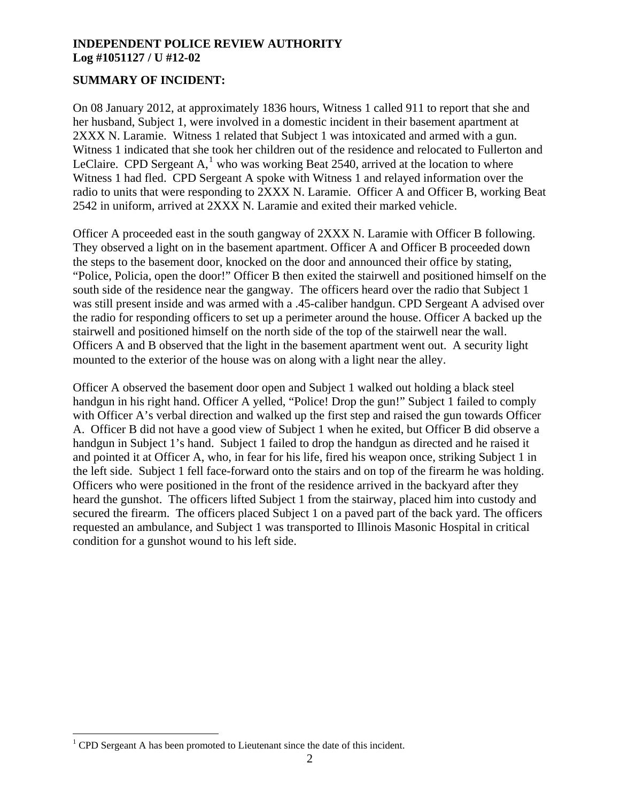# **SUMMARY OF INCIDENT:**

On 08 January 2012, at approximately 1836 hours, Witness 1 called 911 to report that she and her husband, Subject 1, were involved in a domestic incident in their basement apartment at 2XXX N. Laramie. Witness 1 related that Subject 1 was intoxicated and armed with a gun. Witness 1 indicated that she took her children out of the residence and relocated to Fullerton and LeClaire. CPD Sergeant  $A$ ,<sup>[1](#page-1-0)</sup> who was working Beat 2540, arrived at the location to where Witness 1 had fled. CPD Sergeant A spoke with Witness 1 and relayed information over the radio to units that were responding to 2XXX N. Laramie. Officer A and Officer B, working Beat 2542 in uniform, arrived at 2XXX N. Laramie and exited their marked vehicle.

Officer A proceeded east in the south gangway of 2XXX N. Laramie with Officer B following. They observed a light on in the basement apartment. Officer A and Officer B proceeded down the steps to the basement door, knocked on the door and announced their office by stating, "Police, Policia, open the door!" Officer B then exited the stairwell and positioned himself on the south side of the residence near the gangway. The officers heard over the radio that Subject 1 was still present inside and was armed with a .45-caliber handgun. CPD Sergeant A advised over the radio for responding officers to set up a perimeter around the house. Officer A backed up the stairwell and positioned himself on the north side of the top of the stairwell near the wall. Officers A and B observed that the light in the basement apartment went out. A security light mounted to the exterior of the house was on along with a light near the alley.

Officer A observed the basement door open and Subject 1 walked out holding a black steel handgun in his right hand. Officer A yelled, "Police! Drop the gun!" Subject 1 failed to comply with Officer A's verbal direction and walked up the first step and raised the gun towards Officer A. Officer B did not have a good view of Subject 1 when he exited, but Officer B did observe a handgun in Subject 1's hand. Subject 1 failed to drop the handgun as directed and he raised it and pointed it at Officer A, who, in fear for his life, fired his weapon once, striking Subject 1 in the left side. Subject 1 fell face-forward onto the stairs and on top of the firearm he was holding. Officers who were positioned in the front of the residence arrived in the backyard after they heard the gunshot. The officers lifted Subject 1 from the stairway, placed him into custody and secured the firearm. The officers placed Subject 1 on a paved part of the back yard. The officers requested an ambulance, and Subject 1 was transported to Illinois Masonic Hospital in critical condition for a gunshot wound to his left side.

 $\overline{a}$ 

<span id="page-1-0"></span> $1$  CPD Sergeant A has been promoted to Lieutenant since the date of this incident.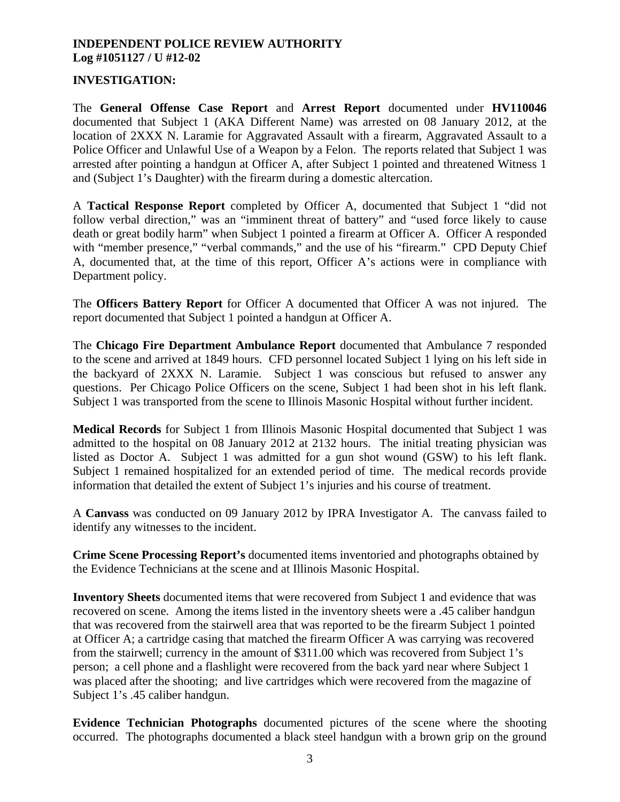# **INVESTIGATION:**

The **General Offense Case Report** and **Arrest Report** documented under **HV110046**  documented that Subject 1 (AKA Different Name) was arrested on 08 January 2012, at the location of 2XXX N. Laramie for Aggravated Assault with a firearm, Aggravated Assault to a Police Officer and Unlawful Use of a Weapon by a Felon. The reports related that Subject 1 was arrested after pointing a handgun at Officer A, after Subject 1 pointed and threatened Witness 1 and (Subject 1's Daughter) with the firearm during a domestic altercation.

A **Tactical Response Report** completed by Officer A, documented that Subject 1 "did not follow verbal direction," was an "imminent threat of battery" and "used force likely to cause death or great bodily harm" when Subject 1 pointed a firearm at Officer A. Officer A responded with "member presence," "verbal commands," and the use of his "firearm." CPD Deputy Chief A, documented that, at the time of this report, Officer A's actions were in compliance with Department policy.

The **Officers Battery Report** for Officer A documented that Officer A was not injured. The report documented that Subject 1 pointed a handgun at Officer A.

The **Chicago Fire Department Ambulance Report** documented that Ambulance 7 responded to the scene and arrived at 1849 hours. CFD personnel located Subject 1 lying on his left side in the backyard of 2XXX N. Laramie. Subject 1 was conscious but refused to answer any questions. Per Chicago Police Officers on the scene, Subject 1 had been shot in his left flank. Subject 1 was transported from the scene to Illinois Masonic Hospital without further incident.

**Medical Records** for Subject 1 from Illinois Masonic Hospital documented that Subject 1 was admitted to the hospital on 08 January 2012 at 2132 hours. The initial treating physician was listed as Doctor A. Subject 1 was admitted for a gun shot wound (GSW) to his left flank. Subject 1 remained hospitalized for an extended period of time. The medical records provide information that detailed the extent of Subject 1's injuries and his course of treatment.

A **Canvass** was conducted on 09 January 2012 by IPRA Investigator A. The canvass failed to identify any witnesses to the incident.

**Crime Scene Processing Report's** documented items inventoried and photographs obtained by the Evidence Technicians at the scene and at Illinois Masonic Hospital.

**Inventory Sheets** documented items that were recovered from Subject 1 and evidence that was recovered on scene. Among the items listed in the inventory sheets were a .45 caliber handgun that was recovered from the stairwell area that was reported to be the firearm Subject 1 pointed at Officer A; a cartridge casing that matched the firearm Officer A was carrying was recovered from the stairwell; currency in the amount of \$311.00 which was recovered from Subject 1's person; a cell phone and a flashlight were recovered from the back yard near where Subject 1 was placed after the shooting; and live cartridges which were recovered from the magazine of Subject 1's .45 caliber handgun.

**Evidence Technician Photographs** documented pictures of the scene where the shooting occurred. The photographs documented a black steel handgun with a brown grip on the ground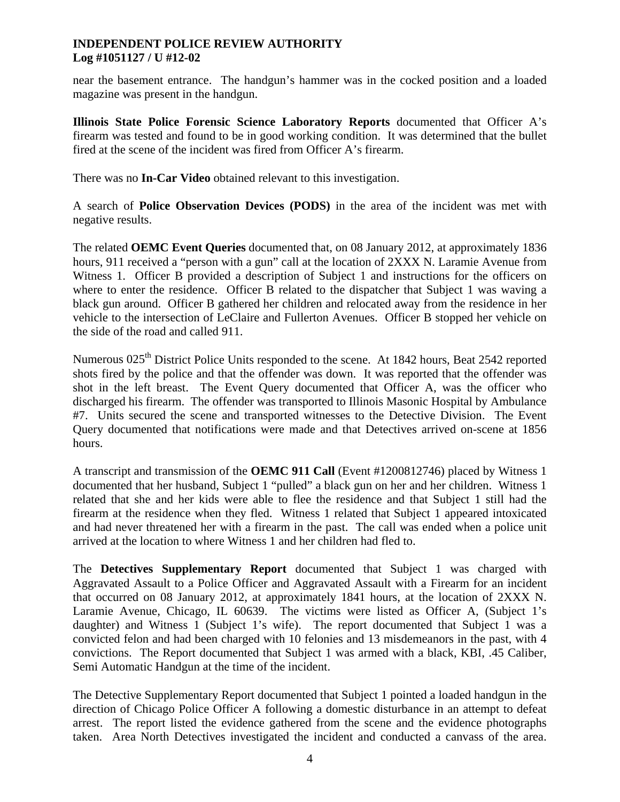near the basement entrance. The handgun's hammer was in the cocked position and a loaded magazine was present in the handgun.

**Illinois State Police Forensic Science Laboratory Reports** documented that Officer A's firearm was tested and found to be in good working condition. It was determined that the bullet fired at the scene of the incident was fired from Officer A's firearm.

There was no **In-Car Video** obtained relevant to this investigation.

A search of **Police Observation Devices (PODS)** in the area of the incident was met with negative results.

The related **OEMC Event Queries** documented that, on 08 January 2012, at approximately 1836 hours, 911 received a "person with a gun" call at the location of 2XXX N. Laramie Avenue from Witness 1. Officer B provided a description of Subject 1 and instructions for the officers on where to enter the residence. Officer B related to the dispatcher that Subject 1 was waving a black gun around. Officer B gathered her children and relocated away from the residence in her vehicle to the intersection of LeClaire and Fullerton Avenues. Officer B stopped her vehicle on the side of the road and called 911.

Numerous 025<sup>th</sup> District Police Units responded to the scene. At 1842 hours, Beat 2542 reported shots fired by the police and that the offender was down. It was reported that the offender was shot in the left breast. The Event Query documented that Officer A, was the officer who discharged his firearm. The offender was transported to Illinois Masonic Hospital by Ambulance #7. Units secured the scene and transported witnesses to the Detective Division. The Event Query documented that notifications were made and that Detectives arrived on-scene at 1856 hours.

A transcript and transmission of the **OEMC 911 Call** (Event #1200812746) placed by Witness 1 documented that her husband, Subject 1 "pulled" a black gun on her and her children. Witness 1 related that she and her kids were able to flee the residence and that Subject 1 still had the firearm at the residence when they fled. Witness 1 related that Subject 1 appeared intoxicated and had never threatened her with a firearm in the past. The call was ended when a police unit arrived at the location to where Witness 1 and her children had fled to.

The **Detectives Supplementary Report** documented that Subject 1 was charged with Aggravated Assault to a Police Officer and Aggravated Assault with a Firearm for an incident that occurred on 08 January 2012, at approximately 1841 hours, at the location of 2XXX N. Laramie Avenue, Chicago, IL 60639. The victims were listed as Officer A, (Subject 1's daughter) and Witness  $\tilde{1}$  (Subject 1's wife). The report documented that Subject 1 was a convicted felon and had been charged with 10 felonies and 13 misdemeanors in the past, with 4 convictions. The Report documented that Subject 1 was armed with a black, KBI, .45 Caliber, Semi Automatic Handgun at the time of the incident.

The Detective Supplementary Report documented that Subject 1 pointed a loaded handgun in the direction of Chicago Police Officer A following a domestic disturbance in an attempt to defeat arrest. The report listed the evidence gathered from the scene and the evidence photographs taken. Area North Detectives investigated the incident and conducted a canvass of the area.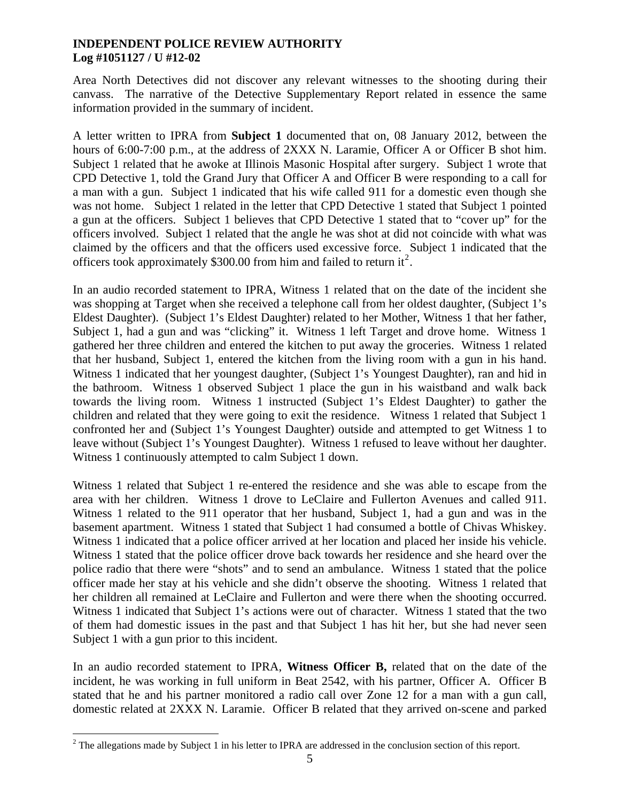Area North Detectives did not discover any relevant witnesses to the shooting during their canvass. The narrative of the Detective Supplementary Report related in essence the same information provided in the summary of incident.

A letter written to IPRA from **Subject 1** documented that on, 08 January 2012, between the hours of 6:00-7:00 p.m., at the address of 2XXX N. Laramie, Officer A or Officer B shot him. Subject 1 related that he awoke at Illinois Masonic Hospital after surgery. Subject 1 wrote that CPD Detective 1, told the Grand Jury that Officer A and Officer B were responding to a call for a man with a gun. Subject 1 indicated that his wife called 911 for a domestic even though she was not home. Subject 1 related in the letter that CPD Detective 1 stated that Subject 1 pointed a gun at the officers. Subject 1 believes that CPD Detective 1 stated that to "cover up" for the officers involved. Subject 1 related that the angle he was shot at did not coincide with what was claimed by the officers and that the officers used excessive force. Subject 1 indicated that the officers took approximately \$300.00 from him and failed to return it<sup>[2](#page-4-0)</sup>.

In an audio recorded statement to IPRA, Witness 1 related that on the date of the incident she was shopping at Target when she received a telephone call from her oldest daughter, (Subject 1's Eldest Daughter). (Subject 1's Eldest Daughter) related to her Mother, Witness 1 that her father, Subject 1, had a gun and was "clicking" it. Witness 1 left Target and drove home. Witness 1 gathered her three children and entered the kitchen to put away the groceries. Witness 1 related that her husband, Subject 1, entered the kitchen from the living room with a gun in his hand. Witness 1 indicated that her youngest daughter, (Subject 1's Youngest Daughter), ran and hid in the bathroom. Witness 1 observed Subject 1 place the gun in his waistband and walk back towards the living room. Witness 1 instructed (Subject 1's Eldest Daughter) to gather the children and related that they were going to exit the residence. Witness 1 related that Subject 1 confronted her and (Subject 1's Youngest Daughter) outside and attempted to get Witness 1 to leave without (Subject 1's Youngest Daughter). Witness 1 refused to leave without her daughter. Witness 1 continuously attempted to calm Subject 1 down.

Witness 1 related that Subject 1 re-entered the residence and she was able to escape from the area with her children. Witness 1 drove to LeClaire and Fullerton Avenues and called 911. Witness 1 related to the 911 operator that her husband, Subject 1, had a gun and was in the basement apartment. Witness 1 stated that Subject 1 had consumed a bottle of Chivas Whiskey. Witness 1 indicated that a police officer arrived at her location and placed her inside his vehicle. Witness 1 stated that the police officer drove back towards her residence and she heard over the police radio that there were "shots" and to send an ambulance. Witness 1 stated that the police officer made her stay at his vehicle and she didn't observe the shooting. Witness 1 related that her children all remained at LeClaire and Fullerton and were there when the shooting occurred. Witness 1 indicated that Subject 1's actions were out of character. Witness 1 stated that the two of them had domestic issues in the past and that Subject 1 has hit her, but she had never seen Subject 1 with a gun prior to this incident.

In an audio recorded statement to IPRA, **Witness Officer B,** related that on the date of the incident, he was working in full uniform in Beat 2542, with his partner, Officer A. Officer B stated that he and his partner monitored a radio call over Zone 12 for a man with a gun call, domestic related at 2XXX N. Laramie. Officer B related that they arrived on-scene and parked

<span id="page-4-0"></span><sup>&</sup>lt;sup>2</sup> The allegations made by Subject 1 in his letter to IPRA are addressed in the conclusion section of this report.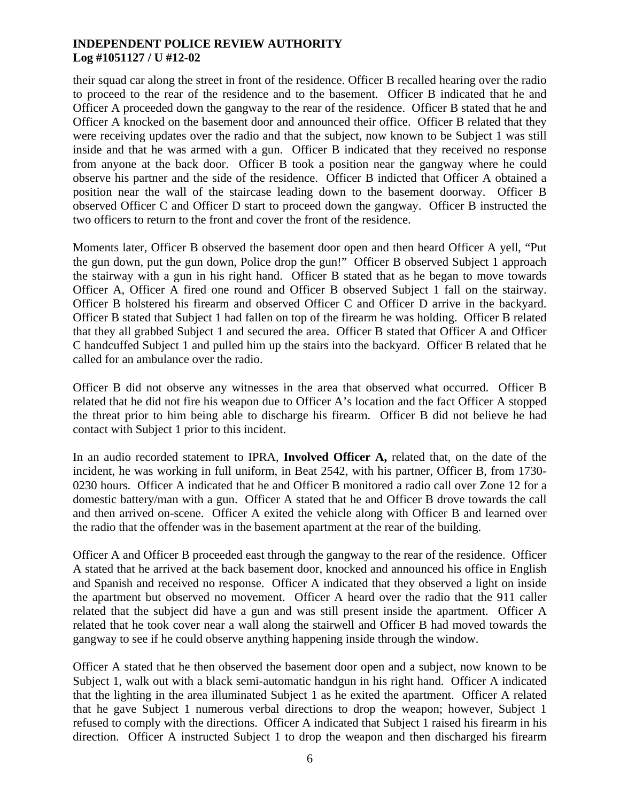their squad car along the street in front of the residence. Officer B recalled hearing over the radio to proceed to the rear of the residence and to the basement. Officer B indicated that he and Officer A proceeded down the gangway to the rear of the residence. Officer B stated that he and Officer A knocked on the basement door and announced their office. Officer B related that they were receiving updates over the radio and that the subject, now known to be Subject 1 was still inside and that he was armed with a gun. Officer B indicated that they received no response from anyone at the back door. Officer B took a position near the gangway where he could observe his partner and the side of the residence. Officer B indicted that Officer A obtained a position near the wall of the staircase leading down to the basement doorway. Officer B observed Officer C and Officer D start to proceed down the gangway. Officer B instructed the two officers to return to the front and cover the front of the residence.

Moments later, Officer B observed the basement door open and then heard Officer A yell, "Put the gun down, put the gun down, Police drop the gun!" Officer B observed Subject 1 approach the stairway with a gun in his right hand. Officer B stated that as he began to move towards Officer A, Officer A fired one round and Officer B observed Subject 1 fall on the stairway. Officer B holstered his firearm and observed Officer C and Officer D arrive in the backyard. Officer B stated that Subject 1 had fallen on top of the firearm he was holding. Officer B related that they all grabbed Subject 1 and secured the area. Officer B stated that Officer A and Officer C handcuffed Subject 1 and pulled him up the stairs into the backyard. Officer B related that he called for an ambulance over the radio.

Officer B did not observe any witnesses in the area that observed what occurred. Officer B related that he did not fire his weapon due to Officer A's location and the fact Officer A stopped the threat prior to him being able to discharge his firearm. Officer B did not believe he had contact with Subject 1 prior to this incident.

In an audio recorded statement to IPRA, **Involved Officer A,** related that, on the date of the incident, he was working in full uniform, in Beat 2542, with his partner, Officer B, from 1730- 0230 hours. Officer A indicated that he and Officer B monitored a radio call over Zone 12 for a domestic battery/man with a gun. Officer A stated that he and Officer B drove towards the call and then arrived on-scene. Officer A exited the vehicle along with Officer B and learned over the radio that the offender was in the basement apartment at the rear of the building.

Officer A and Officer B proceeded east through the gangway to the rear of the residence. Officer A stated that he arrived at the back basement door, knocked and announced his office in English and Spanish and received no response. Officer A indicated that they observed a light on inside the apartment but observed no movement. Officer A heard over the radio that the 911 caller related that the subject did have a gun and was still present inside the apartment. Officer A related that he took cover near a wall along the stairwell and Officer B had moved towards the gangway to see if he could observe anything happening inside through the window.

Officer A stated that he then observed the basement door open and a subject, now known to be Subject 1, walk out with a black semi-automatic handgun in his right hand. Officer A indicated that the lighting in the area illuminated Subject 1 as he exited the apartment. Officer A related that he gave Subject 1 numerous verbal directions to drop the weapon; however, Subject 1 refused to comply with the directions. Officer A indicated that Subject 1 raised his firearm in his direction. Officer A instructed Subject 1 to drop the weapon and then discharged his firearm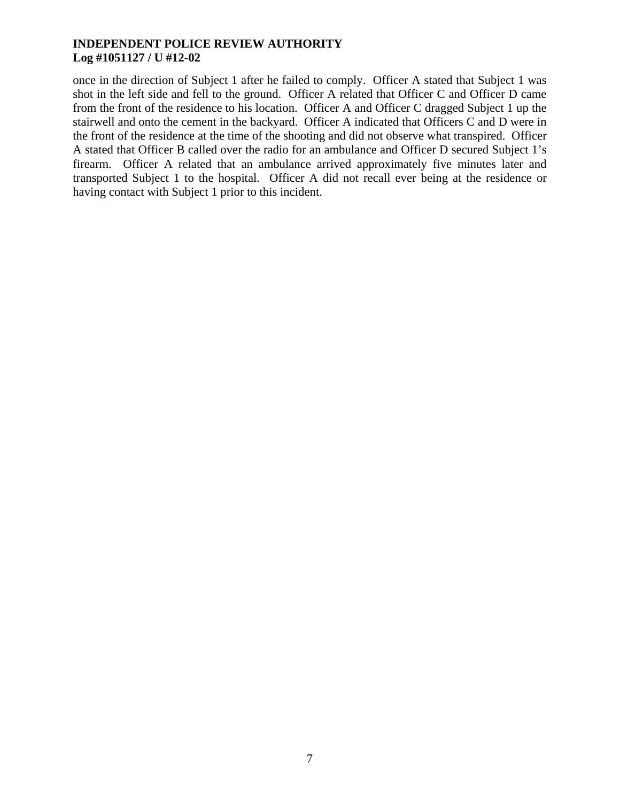once in the direction of Subject 1 after he failed to comply. Officer A stated that Subject 1 was shot in the left side and fell to the ground. Officer A related that Officer C and Officer D came from the front of the residence to his location. Officer A and Officer C dragged Subject 1 up the stairwell and onto the cement in the backyard. Officer A indicated that Officers C and D were in the front of the residence at the time of the shooting and did not observe what transpired. Officer A stated that Officer B called over the radio for an ambulance and Officer D secured Subject 1's firearm. Officer A related that an ambulance arrived approximately five minutes later and transported Subject 1 to the hospital. Officer A did not recall ever being at the residence or having contact with Subject 1 prior to this incident.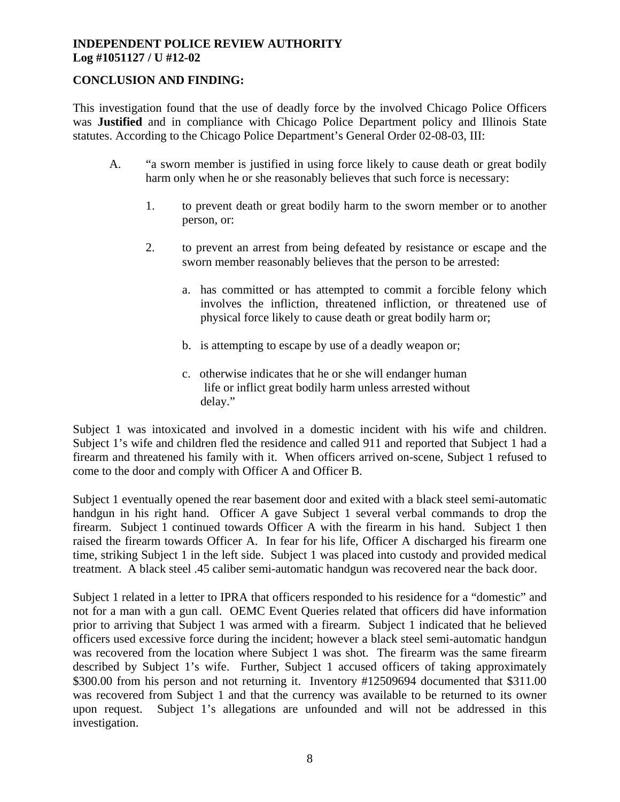# **CONCLUSION AND FINDING:**

This investigation found that the use of deadly force by the involved Chicago Police Officers was **Justified** and in compliance with Chicago Police Department policy and Illinois State statutes. According to the Chicago Police Department's General Order 02-08-03, III:

- A. "a sworn member is justified in using force likely to cause death or great bodily harm only when he or she reasonably believes that such force is necessary:
	- 1. to prevent death or great bodily harm to the sworn member or to another person, or:
	- 2. to prevent an arrest from being defeated by resistance or escape and the sworn member reasonably believes that the person to be arrested:
		- a. has committed or has attempted to commit a forcible felony which involves the infliction, threatened infliction, or threatened use of physical force likely to cause death or great bodily harm or;
		- b. is attempting to escape by use of a deadly weapon or;
		- c. otherwise indicates that he or she will endanger human life or inflict great bodily harm unless arrested without delay."

Subject 1 was intoxicated and involved in a domestic incident with his wife and children. Subject 1's wife and children fled the residence and called 911 and reported that Subject 1 had a firearm and threatened his family with it. When officers arrived on-scene, Subject 1 refused to come to the door and comply with Officer A and Officer B.

Subject 1 eventually opened the rear basement door and exited with a black steel semi-automatic handgun in his right hand. Officer A gave Subject 1 several verbal commands to drop the firearm. Subject 1 continued towards Officer A with the firearm in his hand. Subject 1 then raised the firearm towards Officer A. In fear for his life, Officer A discharged his firearm one time, striking Subject 1 in the left side. Subject 1 was placed into custody and provided medical treatment. A black steel .45 caliber semi-automatic handgun was recovered near the back door.

Subject 1 related in a letter to IPRA that officers responded to his residence for a "domestic" and not for a man with a gun call. OEMC Event Queries related that officers did have information prior to arriving that Subject 1 was armed with a firearm. Subject 1 indicated that he believed officers used excessive force during the incident; however a black steel semi-automatic handgun was recovered from the location where Subject 1 was shot. The firearm was the same firearm described by Subject 1's wife. Further, Subject 1 accused officers of taking approximately \$300.00 from his person and not returning it. Inventory #12509694 documented that \$311.00 was recovered from Subject 1 and that the currency was available to be returned to its owner upon request. Subject 1's allegations are unfounded and will not be addressed in this investigation.